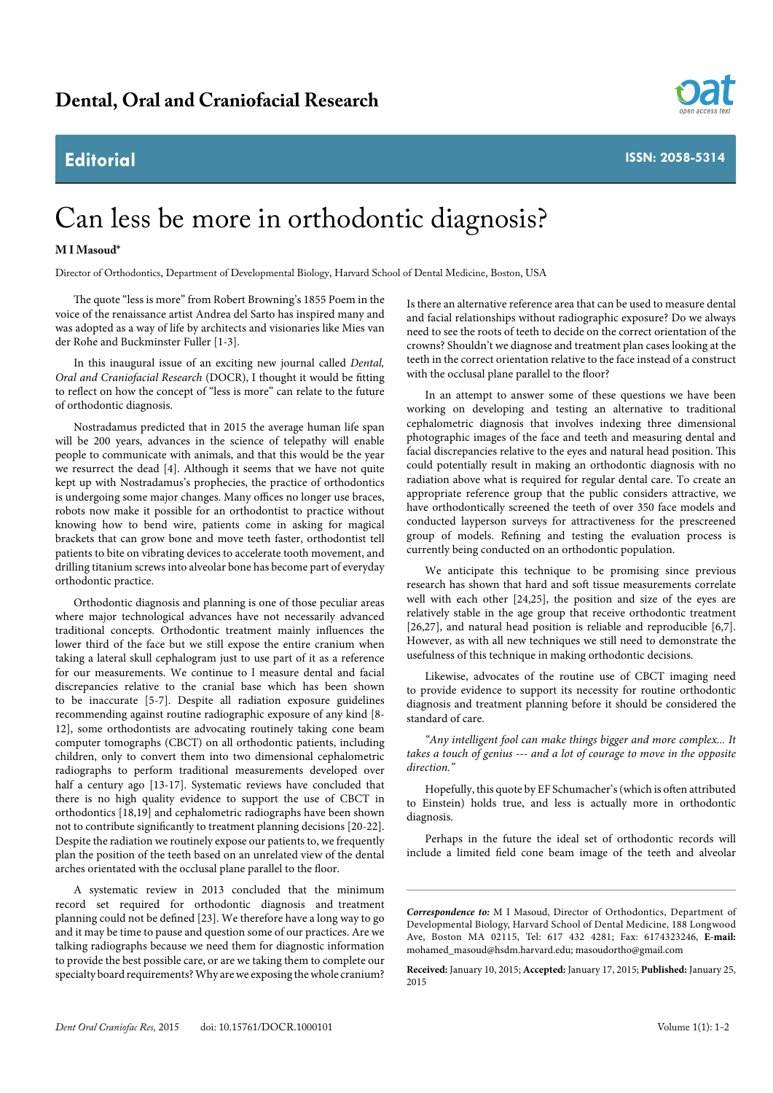## **Editorial**



**ISSN: 2058-5314**

## Can less be more in orthodontic diagnosis?

## **M I Masoud\***

Director of Orthodontics, Department of Developmental Biology, Harvard School of Dental Medicine, Boston, USA

The quote "less is more" from Robert Browning's 1855 Poem in the voice of the renaissance artist Andrea del Sarto has inspired many and was adopted as a way of life by architects and visionaries like Mies van der Rohe and Buckminster Fuller [1-3].

In this inaugural issue of an exciting new journal called *Dental, Oral and Craniofacial Research* (DOCR), I thought it would be fitting to reflect on how the concept of "less is more" can relate to the future of orthodontic diagnosis.

Nostradamus predicted that in 2015 the average human life span will be 200 years, advances in the science of telepathy will enable people to communicate with animals, and that this would be the year we resurrect the dead [4]. Although it seems that we have not quite kept up with Nostradamus's prophecies, the practice of orthodontics is undergoing some major changes. Many offices no longer use braces, robots now make it possible for an orthodontist to practice without knowing how to bend wire, patients come in asking for magical brackets that can grow bone and move teeth faster, orthodontist tell patients to bite on vibrating devices to accelerate tooth movement, and drilling titanium screws into alveolar bone has become part of everyday orthodontic practice.

Orthodontic diagnosis and planning is one of those peculiar areas where major technological advances have not necessarily advanced traditional concepts. Orthodontic treatment mainly influences the lower third of the face but we still expose the entire cranium when taking a lateral skull cephalogram just to use part of it as a reference for our measurements. We continue to l measure dental and facial discrepancies relative to the cranial base which has been shown to be inaccurate [5-7]. Despite all radiation exposure guidelines recommending against routine radiographic exposure of any kind [8- 12], some orthodontists are advocating routinely taking cone beam computer tomographs (CBCT) on all orthodontic patients, including children, only to convert them into two dimensional cephalometric radiographs to perform traditional measurements developed over half a century ago [13-17]. Systematic reviews have concluded that there is no high quality evidence to support the use of CBCT in orthodontics [18,19] and cephalometric radiographs have been shown not to contribute significantly to treatment planning decisions [20-22]. Despite the radiation we routinely expose our patients to, we frequently plan the position of the teeth based on an unrelated view of the dental arches orientated with the occlusal plane parallel to the floor.

A systematic review in 2013 concluded that the minimum record set required for orthodontic diagnosis and treatment planning could not be defined [23]. We therefore have a long way to go and it may be time to pause and question some of our practices. Are we talking radiographs because we need them for diagnostic information to provide the best possible care, or are we taking them to complete our specialty board requirements? Why are we exposing the whole cranium? Is there an alternative reference area that can be used to measure dental and facial relationships without radiographic exposure? Do we always need to see the roots of teeth to decide on the correct orientation of the crowns? Shouldn't we diagnose and treatment plan cases looking at the teeth in the correct orientation relative to the face instead of a construct with the occlusal plane parallel to the floor?

In an attempt to answer some of these questions we have been working on developing and testing an alternative to traditional cephalometric diagnosis that involves indexing three dimensional photographic images of the face and teeth and measuring dental and facial discrepancies relative to the eyes and natural head position. This could potentially result in making an orthodontic diagnosis with no radiation above what is required for regular dental care. To create an appropriate reference group that the public considers attractive, we have orthodontically screened the teeth of over 350 face models and conducted layperson surveys for attractiveness for the prescreened group of models. Refining and testing the evaluation process is currently being conducted on an orthodontic population.

We anticipate this technique to be promising since previous research has shown that hard and soft tissue measurements correlate well with each other [24,25], the position and size of the eyes are relatively stable in the age group that receive orthodontic treatment [26,27], and natural head position is reliable and reproducible [6,7]. However, as with all new techniques we still need to demonstrate the usefulness of this technique in making orthodontic decisions.

Likewise, advocates of the routine use of CBCT imaging need to provide evidence to support its necessity for routine orthodontic diagnosis and treatment planning before it should be considered the standard of care.

*"Any intelligent fool can make things bigger and more complex... It takes a touch of genius --- and a lot of courage to move in the opposite direction."*

Hopefully, this quote by EF Schumacher's (which is often attributed to Einstein) holds true, and less is actually more in orthodontic diagnosis.

Perhaps in the future the ideal set of orthodontic records will include a limited field cone beam image of the teeth and alveolar

*Correspondence to:* M I Masoud, Director of Orthodontics, Department of Developmental Biology, Harvard School of Dental Medicine, 188 Longwood Ave, Boston MA 02115, Tel: 617 432 4281; Fax: 6174323246, **E-mail:** mohamed\_masoud@hsdm.harvard.edu; masoudortho@gmail.com

**Received:** January 10, 2015; **Accepted:** January 17, 2015; **Published:** January 25, 2015